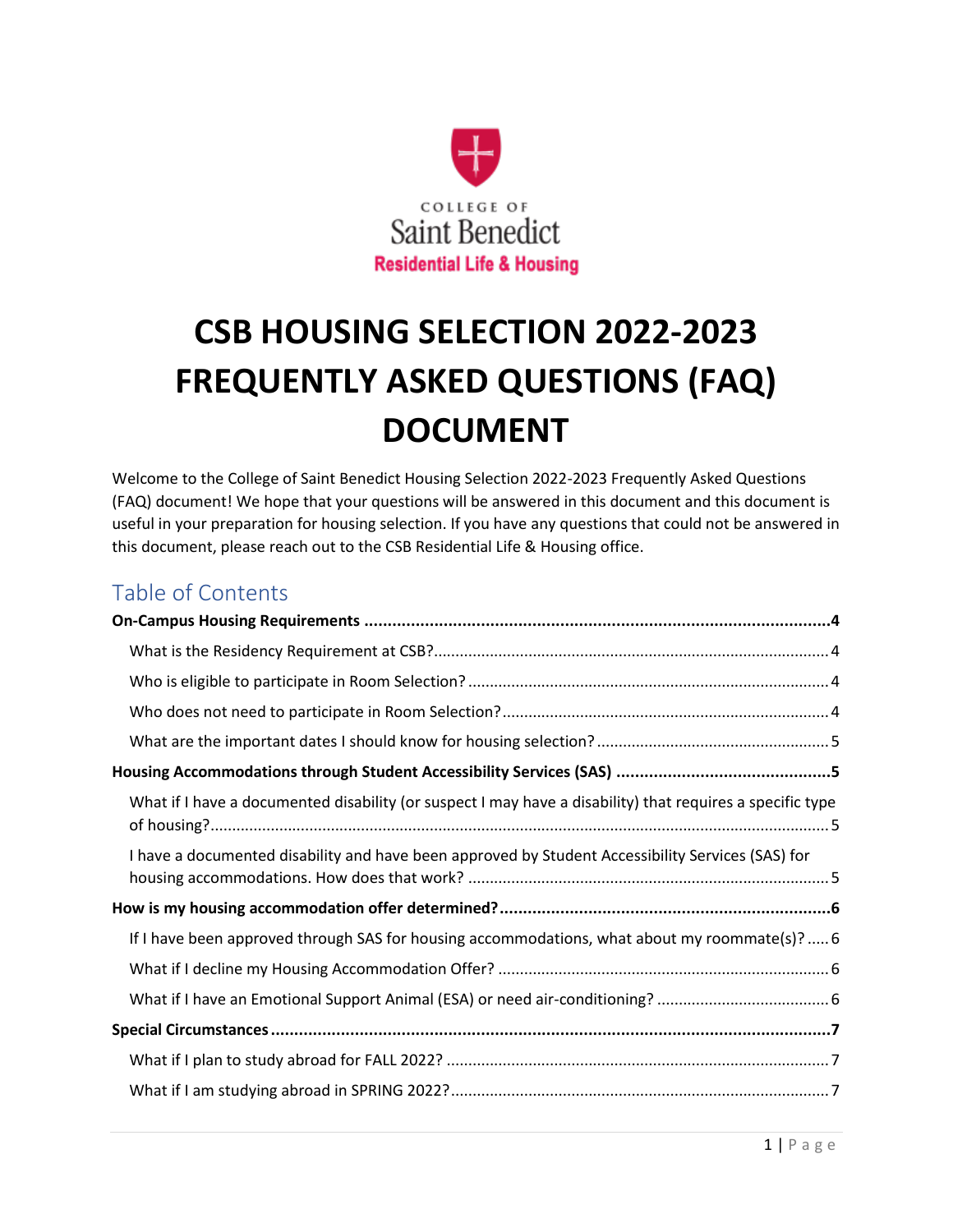

# **CSB HOUSING SELECTION 2022-2023 FREQUENTLY ASKED QUESTIONS (FAQ) DOCUMENT**

Welcome to the College of Saint Benedict Housing Selection 2022-2023 Frequently Asked Questions (FAQ) document! We hope that your questions will be answered in this document and this document is useful in your preparation for housing selection. If you have any questions that could not be answered in this document, please reach out to the CSB Residential Life & Housing office.

# Table of Contents

| What if I have a documented disability (or suspect I may have a disability) that requires a specific type |  |
|-----------------------------------------------------------------------------------------------------------|--|
| I have a documented disability and have been approved by Student Accessibility Services (SAS) for         |  |
|                                                                                                           |  |
| If I have been approved through SAS for housing accommodations, what about my roommate(s)?  6             |  |
|                                                                                                           |  |
|                                                                                                           |  |
|                                                                                                           |  |
|                                                                                                           |  |
|                                                                                                           |  |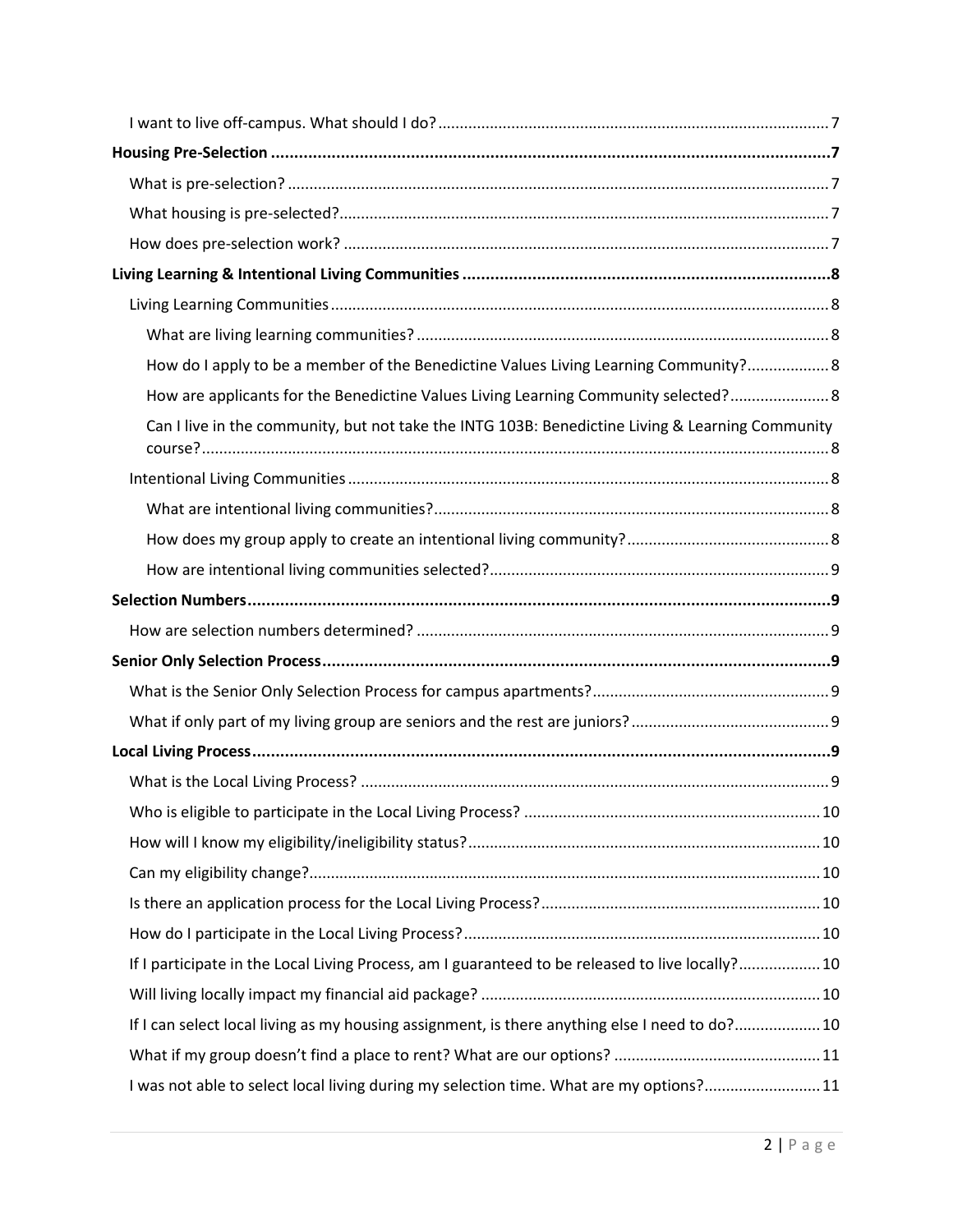| How do I apply to be a member of the Benedictine Values Living Learning Community? 8             |  |
|--------------------------------------------------------------------------------------------------|--|
| How are applicants for the Benedictine Values Living Learning Community selected? 8              |  |
| Can I live in the community, but not take the INTG 103B: Benedictine Living & Learning Community |  |
|                                                                                                  |  |
|                                                                                                  |  |
|                                                                                                  |  |
|                                                                                                  |  |
|                                                                                                  |  |
|                                                                                                  |  |
|                                                                                                  |  |
|                                                                                                  |  |
|                                                                                                  |  |
|                                                                                                  |  |
|                                                                                                  |  |
|                                                                                                  |  |
|                                                                                                  |  |
|                                                                                                  |  |
|                                                                                                  |  |
|                                                                                                  |  |
| If I participate in the Local Living Process, am I guaranteed to be released to live locally? 10 |  |
|                                                                                                  |  |
| If I can select local living as my housing assignment, is there anything else I need to do? 10   |  |
|                                                                                                  |  |
| I was not able to select local living during my selection time. What are my options?11           |  |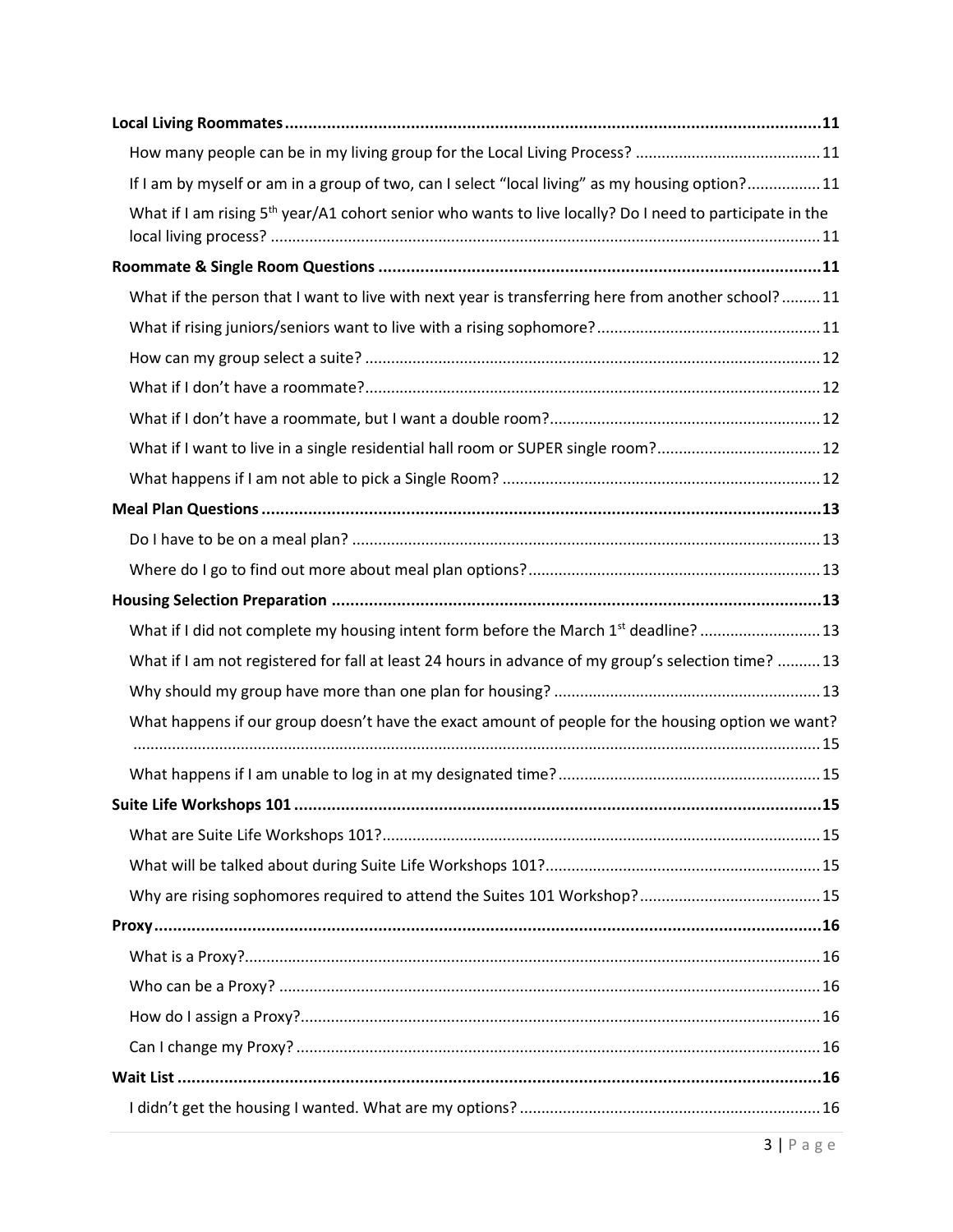| If I am by myself or am in a group of two, can I select "local living" as my housing option?11                       |
|----------------------------------------------------------------------------------------------------------------------|
| What if I am rising 5 <sup>th</sup> year/A1 cohort senior who wants to live locally? Do I need to participate in the |
|                                                                                                                      |
| What if the person that I want to live with next year is transferring here from another school?11                    |
|                                                                                                                      |
|                                                                                                                      |
|                                                                                                                      |
|                                                                                                                      |
| What if I want to live in a single residential hall room or SUPER single room? 12                                    |
|                                                                                                                      |
|                                                                                                                      |
|                                                                                                                      |
|                                                                                                                      |
|                                                                                                                      |
| What if I did not complete my housing intent form before the March 1st deadline?  13                                 |
| What if I am not registered for fall at least 24 hours in advance of my group's selection time?  13                  |
|                                                                                                                      |
| What happens if our group doesn't have the exact amount of people for the housing option we want?                    |
|                                                                                                                      |
| 15                                                                                                                   |
|                                                                                                                      |
|                                                                                                                      |
|                                                                                                                      |
|                                                                                                                      |
|                                                                                                                      |
|                                                                                                                      |
|                                                                                                                      |
|                                                                                                                      |
|                                                                                                                      |
|                                                                                                                      |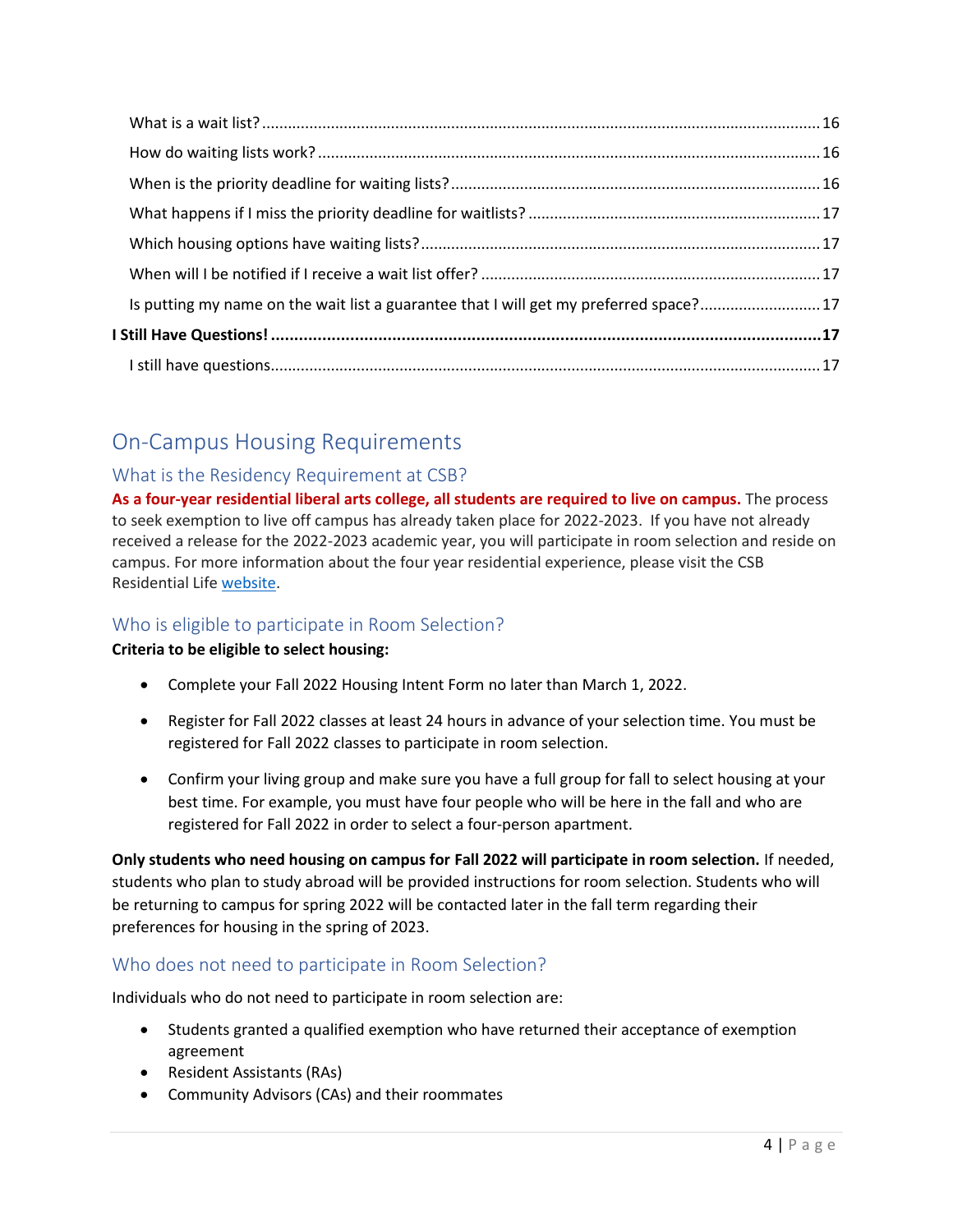| Is putting my name on the wait list a guarantee that I will get my preferred space?17 |  |
|---------------------------------------------------------------------------------------|--|
|                                                                                       |  |
|                                                                                       |  |

# <span id="page-3-0"></span>On-Campus Housing Requirements

#### <span id="page-3-1"></span>What is the Residency Requirement at CSB?

**As a four-year residential liberal arts college, all students are required to live on campus.** The process to seek exemption to live off campus has already taken place for 2022-2023. If you have not already received a release for the 2022-2023 academic year, you will participate in room selection and reside on campus. For more information about the four year residential experience, please visit the CSB Residential Life [website.](https://www.csbsju.edu/csb-residential-life/current-student-information/residency-requirement)

#### <span id="page-3-2"></span>Who is eligible to participate in Room Selection?

#### **Criteria to be eligible to select housing:**

- Complete your Fall 2022 Housing Intent Form no later than March 1, 2022.
- Register for Fall 2022 classes at least 24 hours in advance of your selection time. You must be registered for Fall 2022 classes to participate in room selection.
- Confirm your living group and make sure you have a full group for fall to select housing at your best time. For example, you must have four people who will be here in the fall and who are registered for Fall 2022 in order to select a four-person apartment.

**Only students who need housing on campus for Fall 2022 will participate in room selection.** If needed, students who plan to study abroad will be provided instructions for room selection. Students who will be returning to campus for spring 2022 will be contacted later in the fall term regarding their preferences for housing in the spring of 2023.

#### <span id="page-3-3"></span>Who does not need to participate in Room Selection?

Individuals who do not need to participate in room selection are:

- Students granted a qualified exemption who have returned their acceptance of exemption agreement
- Resident Assistants (RAs)
- Community Advisors (CAs) and their roommates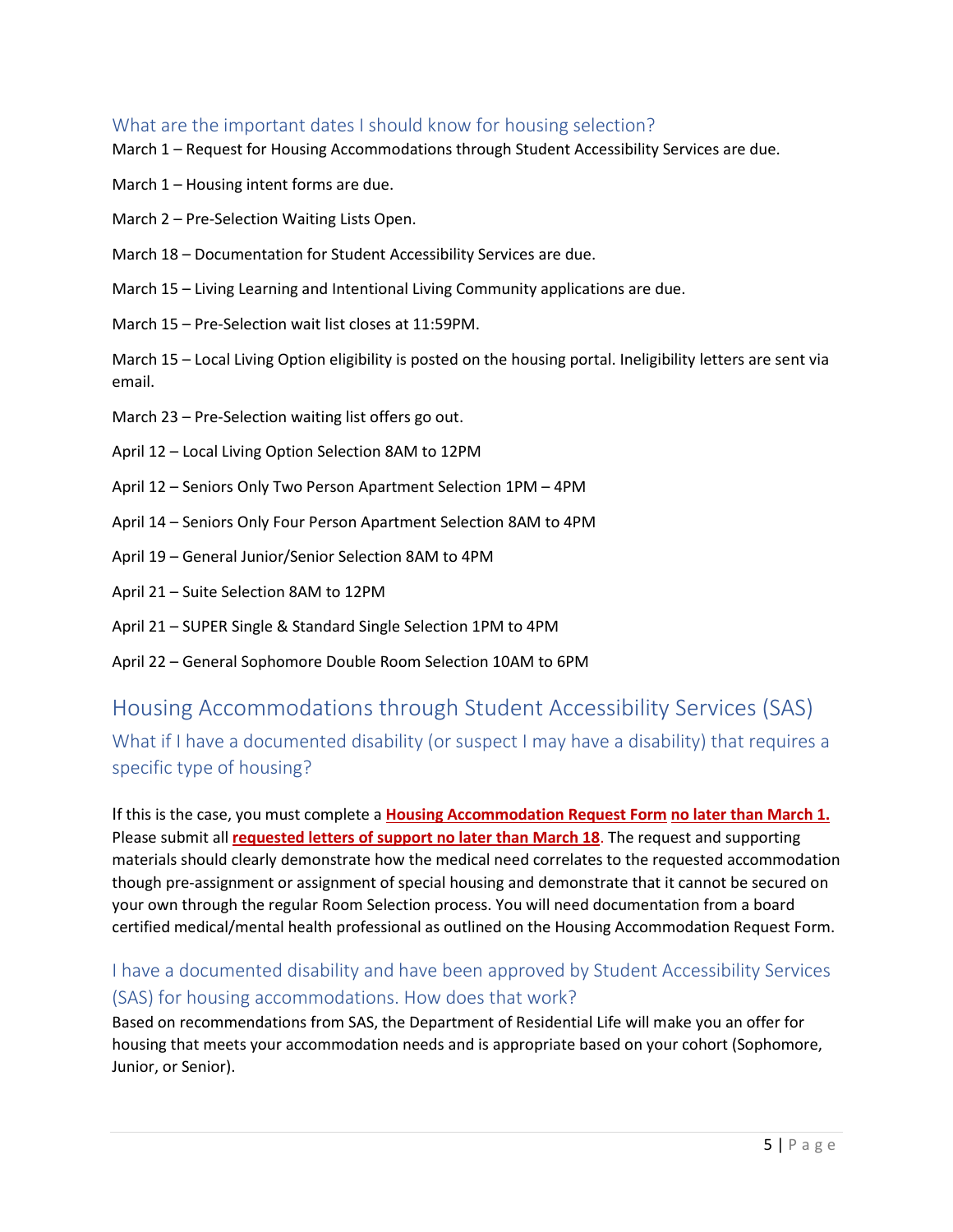#### <span id="page-4-0"></span>What are the important dates I should know for housing selection?

March 1 – Request for Housing Accommodations through Student Accessibility Services are due.

March 1 – Housing intent forms are due.

March 2 – Pre-Selection Waiting Lists Open.

March 18 – Documentation for Student Accessibility Services are due.

March 15 – Living Learning and Intentional Living Community applications are due.

March 15 – Pre-Selection wait list closes at 11:59PM.

March 15 – Local Living Option eligibility is posted on the housing portal. Ineligibility letters are sent via email.

- March 23 Pre-Selection waiting list offers go out.
- April 12 Local Living Option Selection 8AM to 12PM
- April 12 Seniors Only Two Person Apartment Selection 1PM 4PM
- April 14 Seniors Only Four Person Apartment Selection 8AM to 4PM
- April 19 General Junior/Senior Selection 8AM to 4PM
- April 21 Suite Selection 8AM to 12PM
- April 21 SUPER Single & Standard Single Selection 1PM to 4PM
- April 22 General Sophomore Double Room Selection 10AM to 6PM

# <span id="page-4-1"></span>Housing Accommodations through Student Accessibility Services (SAS)

<span id="page-4-2"></span>What if I have a documented disability (or suspect I may have a disability) that requires a specific type of housing?

If this is the case, you must complete a **Housing Accommodation Request Form no later than March 1.** Please submit all **requested letters of support no later than March 18**. The request and supporting materials should clearly demonstrate how the medical need correlates to the requested accommodation though pre-assignment or assignment of special housing and demonstrate that it cannot be secured on your own through the regular Room Selection process. You will need documentation from a board certified medical/mental health professional as outlined on the Housing Accommodation Request Form.

# <span id="page-4-3"></span>I have a documented disability and have been approved by Student Accessibility Services (SAS) for housing accommodations. How does that work?

Based on recommendations from SAS, the Department of Residential Life will make you an offer for housing that meets your accommodation needs and is appropriate based on your cohort (Sophomore, Junior, or Senior).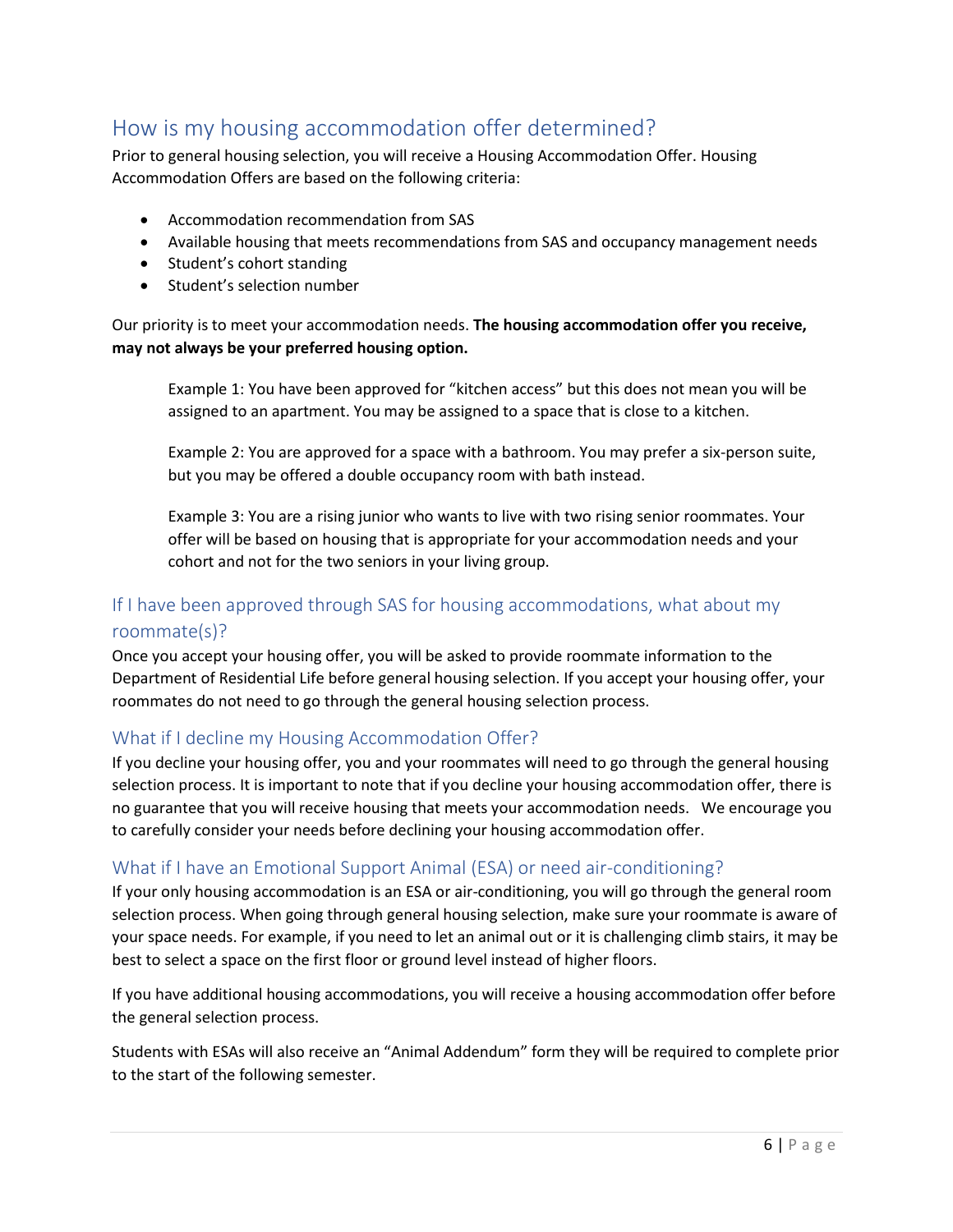# <span id="page-5-0"></span>How is my housing accommodation offer determined?

Prior to general housing selection, you will receive a Housing Accommodation Offer. Housing Accommodation Offers are based on the following criteria:

- Accommodation recommendation from SAS
- Available housing that meets recommendations from SAS and occupancy management needs
- Student's cohort standing
- Student's selection number

Our priority is to meet your accommodation needs. **The housing accommodation offer you receive, may not always be your preferred housing option.** 

Example 1: You have been approved for "kitchen access" but this does not mean you will be assigned to an apartment. You may be assigned to a space that is close to a kitchen.

Example 2: You are approved for a space with a bathroom. You may prefer a six-person suite, but you may be offered a double occupancy room with bath instead.

Example 3: You are a rising junior who wants to live with two rising senior roommates. Your offer will be based on housing that is appropriate for your accommodation needs and your cohort and not for the two seniors in your living group.

## <span id="page-5-1"></span>If I have been approved through SAS for housing accommodations, what about my roommate(s)?

Once you accept your housing offer, you will be asked to provide roommate information to the Department of Residential Life before general housing selection. If you accept your housing offer, your roommates do not need to go through the general housing selection process.

#### <span id="page-5-2"></span>What if I decline my Housing Accommodation Offer?

If you decline your housing offer, you and your roommates will need to go through the general housing selection process. It is important to note that if you decline your housing accommodation offer, there is no guarantee that you will receive housing that meets your accommodation needs. We encourage you to carefully consider your needs before declining your housing accommodation offer.

#### <span id="page-5-3"></span>What if I have an Emotional Support Animal (ESA) or need air-conditioning?

If your only housing accommodation is an ESA or air-conditioning, you will go through the general room selection process. When going through general housing selection, make sure your roommate is aware of your space needs. For example, if you need to let an animal out or it is challenging climb stairs, it may be best to select a space on the first floor or ground level instead of higher floors.

If you have additional housing accommodations, you will receive a housing accommodation offer before the general selection process.

Students with ESAs will also receive an "Animal Addendum" form they will be required to complete prior to the start of the following semester.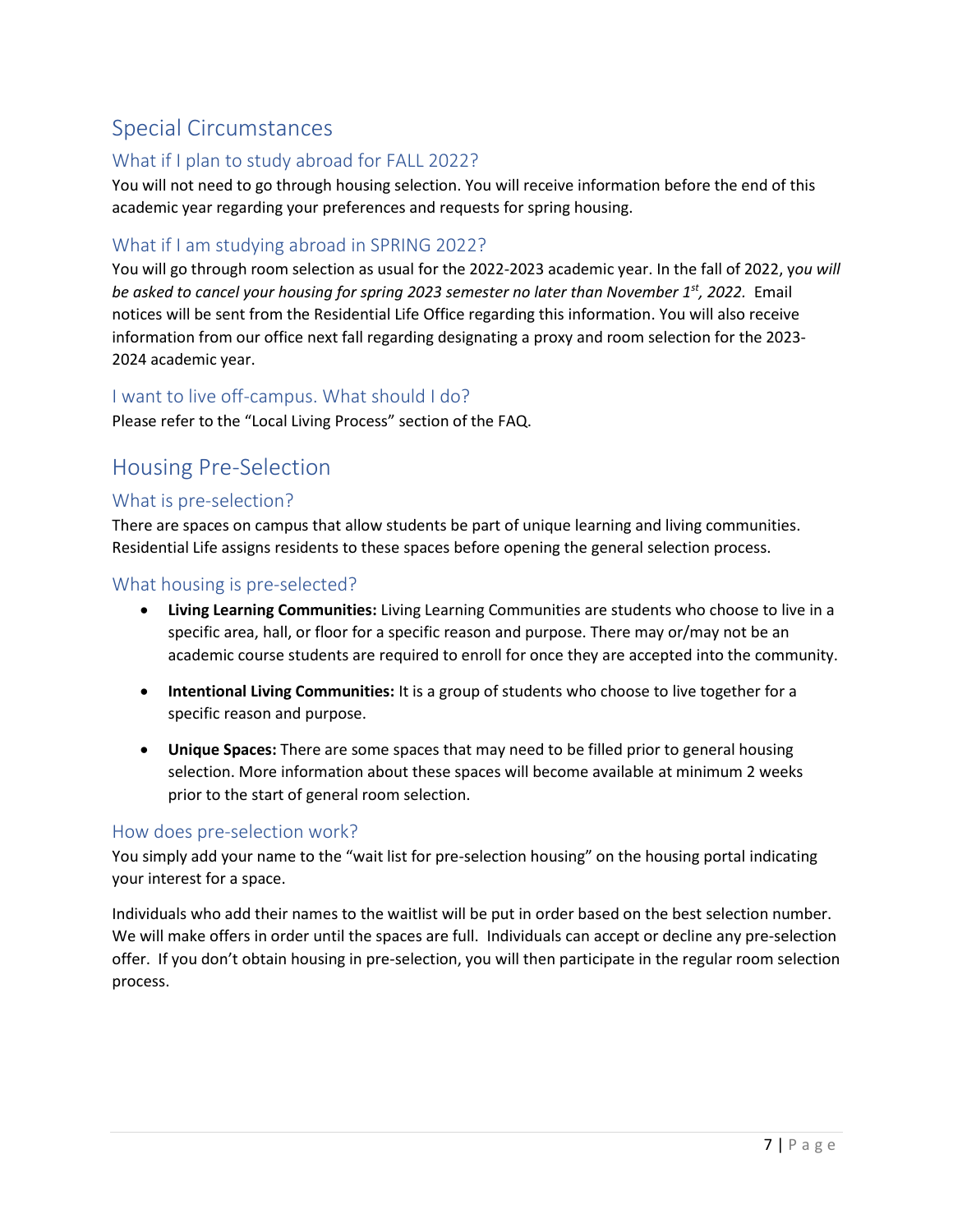# <span id="page-6-0"></span>Special Circumstances

#### <span id="page-6-1"></span>What if I plan to study abroad for FALL 2022?

You will not need to go through housing selection. You will receive information before the end of this academic year regarding your preferences and requests for spring housing.

#### <span id="page-6-2"></span>What if I am studying abroad in SPRING 2022?

You will go through room selection as usual for the 2022-2023 academic year. In the fall of 2022, y*ou will be asked to cancel your housing for spring 2023 semester no later than November 1st , 2022.* Email notices will be sent from the Residential Life Office regarding this information. You will also receive information from our office next fall regarding designating a proxy and room selection for the 2023- 2024 academic year.

#### <span id="page-6-3"></span>I want to live off-campus. What should I do?

Please refer to the "[Local Living Process](#page-8-6)" section of the FAQ.

# <span id="page-6-4"></span>Housing Pre-Selection

#### <span id="page-6-5"></span>What is pre-selection?

There are spaces on campus that allow students be part of unique learning and living communities. Residential Life assigns residents to these spaces before opening the general selection process.

#### <span id="page-6-6"></span>What housing is pre-selected?

- **Living Learning Communities:** Living Learning Communities are students who choose to live in a specific area, hall, or floor for a specific reason and purpose. There may or/may not be an academic course students are required to enroll for once they are accepted into the community.
- **Intentional Living Communities:** It is a group of students who choose to live together for a specific reason and purpose.
- **Unique Spaces:** There are some spaces that may need to be filled prior to general housing selection. More information about these spaces will become available at minimum 2 weeks prior to the start of general room selection.

#### <span id="page-6-7"></span>How does pre-selection work?

You simply add your name to the "wait list for pre-selection housing" on the housing portal indicating your interest for a space.

Individuals who add their names to the waitlist will be put in order based on the best selection number. We will make offers in order until the spaces are full. Individuals can accept or decline any pre-selection offer. If you don't obtain housing in pre-selection, you will then participate in the regular room selection process.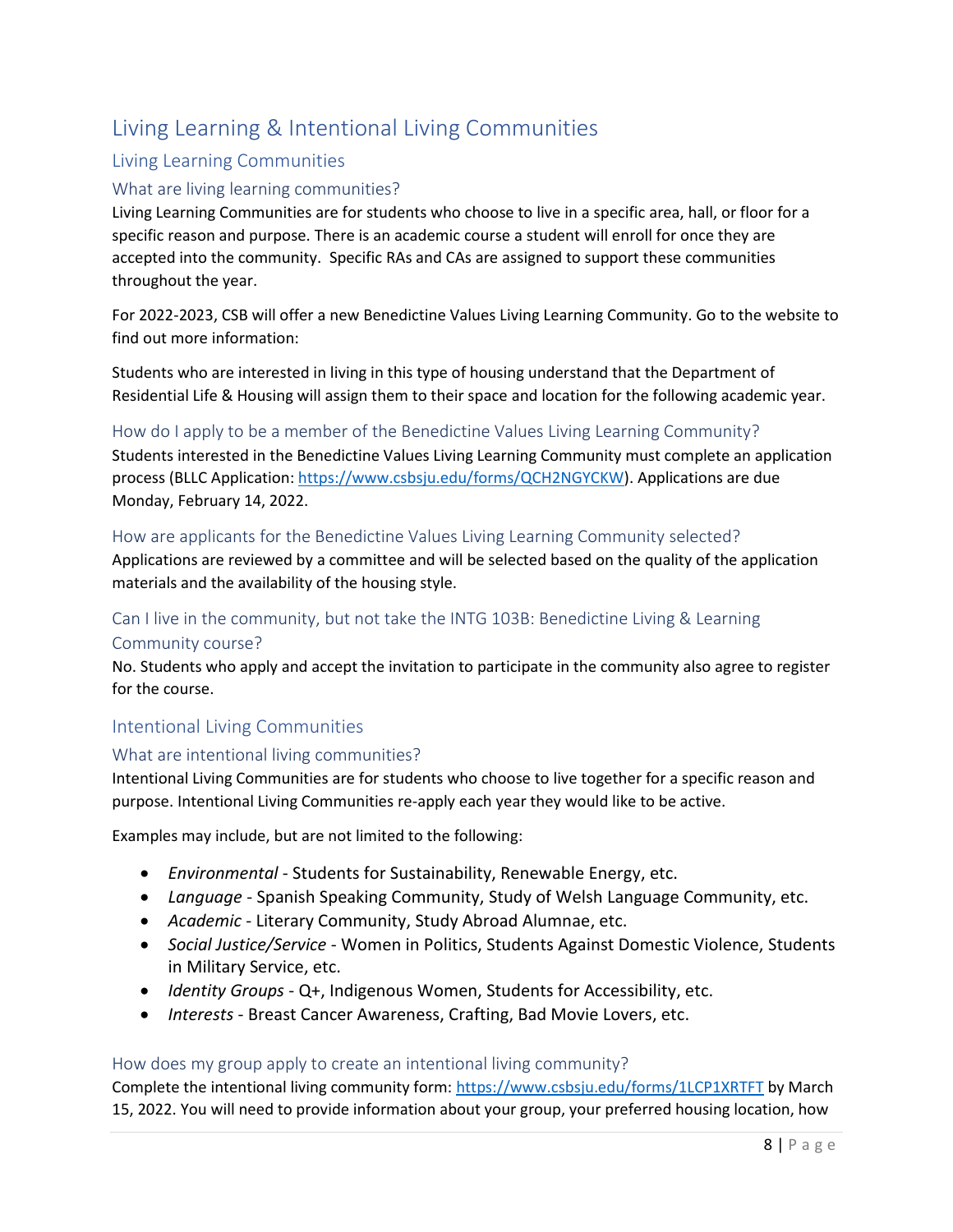# <span id="page-7-0"></span>Living Learning & Intentional Living Communities

#### <span id="page-7-1"></span>Living Learning Communities

#### <span id="page-7-2"></span>What are living learning communities?

Living Learning Communities are for students who choose to live in a specific area, hall, or floor for a specific reason and purpose. There is an academic course a student will enroll for once they are accepted into the community. Specific RAs and CAs are assigned to support these communities throughout the year.

For 2022-2023, CSB will offer a new Benedictine Values Living Learning Community. Go to the website to find out more information:

Students who are interested in living in this type of housing understand that the Department of Residential Life & Housing will assign them to their space and location for the following academic year.

#### <span id="page-7-3"></span>How do I apply to be a member of the Benedictine Values Living Learning Community?

Students interested in the Benedictine Values Living Learning Community must complete an application process (BLLC Application[: https://www.csbsju.edu/forms/QCH2NGYCKW\)](https://www.csbsju.edu/forms/QCH2NGYCKW). Applications are due Monday, February 14, 2022.

#### <span id="page-7-4"></span>How are applicants for the Benedictine Values Living Learning Community selected?

Applications are reviewed by a committee and will be selected based on the quality of the application materials and the availability of the housing style.

#### <span id="page-7-5"></span>Can I live in the community, but not take the INTG 103B: Benedictine Living & Learning Community course?

No. Students who apply and accept the invitation to participate in the community also agree to register for the course.

#### <span id="page-7-6"></span>Intentional Living Communities

#### <span id="page-7-7"></span>What are intentional living communities?

Intentional Living Communities are for students who choose to live together for a specific reason and purpose. Intentional Living Communities re-apply each year they would like to be active.

Examples may include, but are not limited to the following:

- *Environmental* Students for Sustainability, Renewable Energy, etc.
- *Language* Spanish Speaking Community, Study of Welsh Language Community, etc.
- *Academic* Literary Community, Study Abroad Alumnae, etc.
- *Social Justice/Service* Women in Politics, Students Against Domestic Violence, Students in Military Service, etc.
- *Identity Groups* Q+, Indigenous Women, Students for Accessibility, etc.
- *Interests* Breast Cancer Awareness, Crafting, Bad Movie Lovers, etc.

#### <span id="page-7-8"></span>How does my group apply to create an intentional living community?

Complete the intentional living community form: <https://www.csbsju.edu/forms/1LCP1XRTFT> by March 15, 2022. You will need to provide information about your group, your preferred housing location, how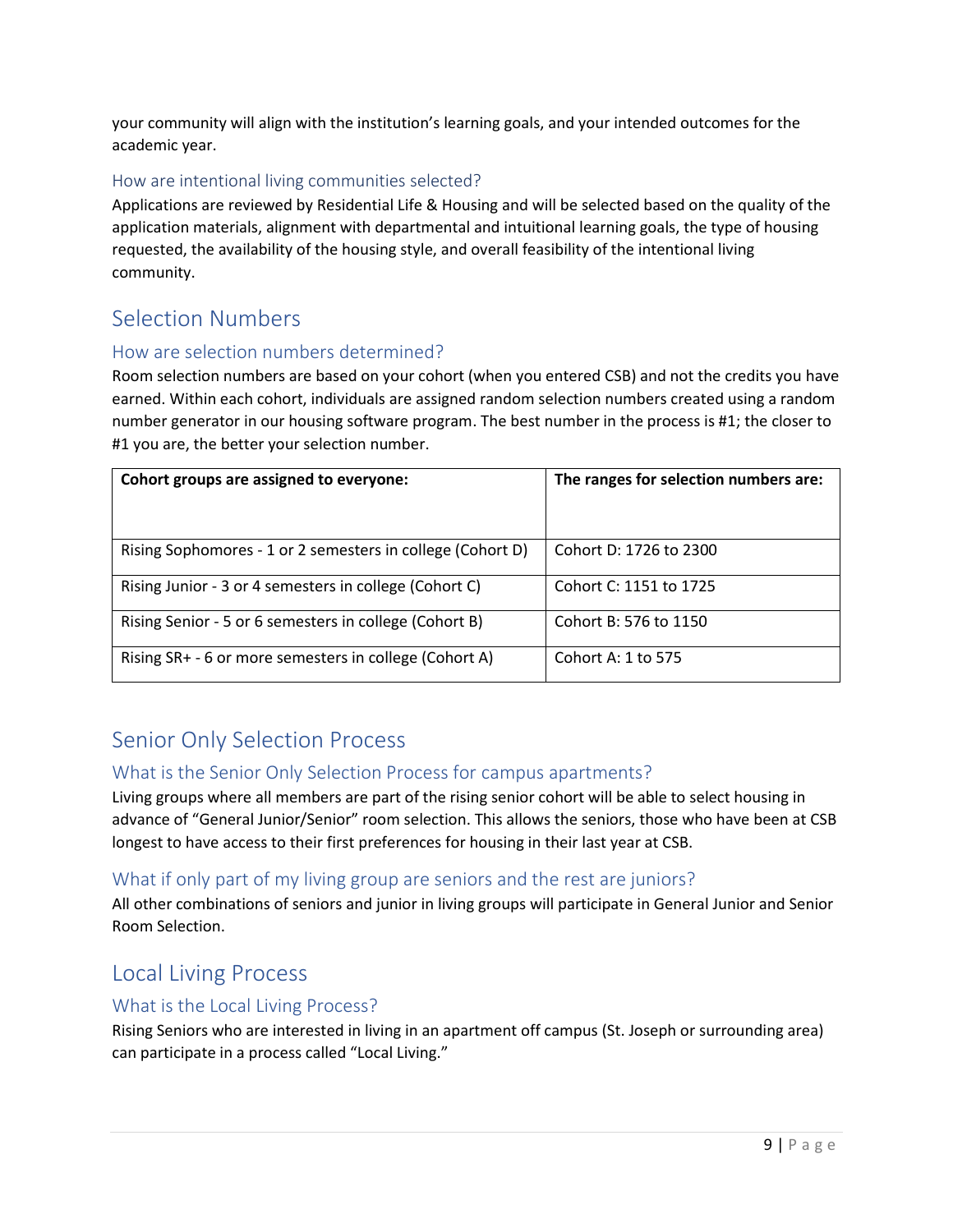your community will align with the institution's learning goals, and your intended outcomes for the academic year.

#### <span id="page-8-0"></span>How are intentional living communities selected?

Applications are reviewed by Residential Life & Housing and will be selected based on the quality of the application materials, alignment with departmental and intuitional learning goals, the type of housing requested, the availability of the housing style, and overall feasibility of the intentional living community.

# <span id="page-8-1"></span>Selection Numbers

#### <span id="page-8-2"></span>How are selection numbers determined?

Room selection numbers are based on your cohort (when you entered CSB) and not the credits you have earned. Within each cohort, individuals are assigned random selection numbers created using a random number generator in our housing software program. The best number in the process is #1; the closer to #1 you are, the better your selection number.

| Cohort groups are assigned to everyone:                    | The ranges for selection numbers are: |
|------------------------------------------------------------|---------------------------------------|
| Rising Sophomores - 1 or 2 semesters in college (Cohort D) | Cohort D: 1726 to 2300                |
| Rising Junior - 3 or 4 semesters in college (Cohort C)     | Cohort C: 1151 to 1725                |
| Rising Senior - 5 or 6 semesters in college (Cohort B)     | Cohort B: 576 to 1150                 |
| Rising SR+ - 6 or more semesters in college (Cohort A)     | Cohort A: 1 to 575                    |

# <span id="page-8-3"></span>Senior Only Selection Process

#### <span id="page-8-4"></span>What is the Senior Only Selection Process for campus apartments?

Living groups where all members are part of the rising senior cohort will be able to select housing in advance of "General Junior/Senior" room selection. This allows the seniors, those who have been at CSB longest to have access to their first preferences for housing in their last year at CSB.

#### <span id="page-8-5"></span>What if only part of my living group are seniors and the rest are juniors?

All other combinations of seniors and junior in living groups will participate in General Junior and Senior Room Selection.

# <span id="page-8-6"></span>Local Living Process

#### <span id="page-8-7"></span>What is the Local Living Process?

Rising Seniors who are interested in living in an apartment off campus (St. Joseph or surrounding area) can participate in a process called "Local Living."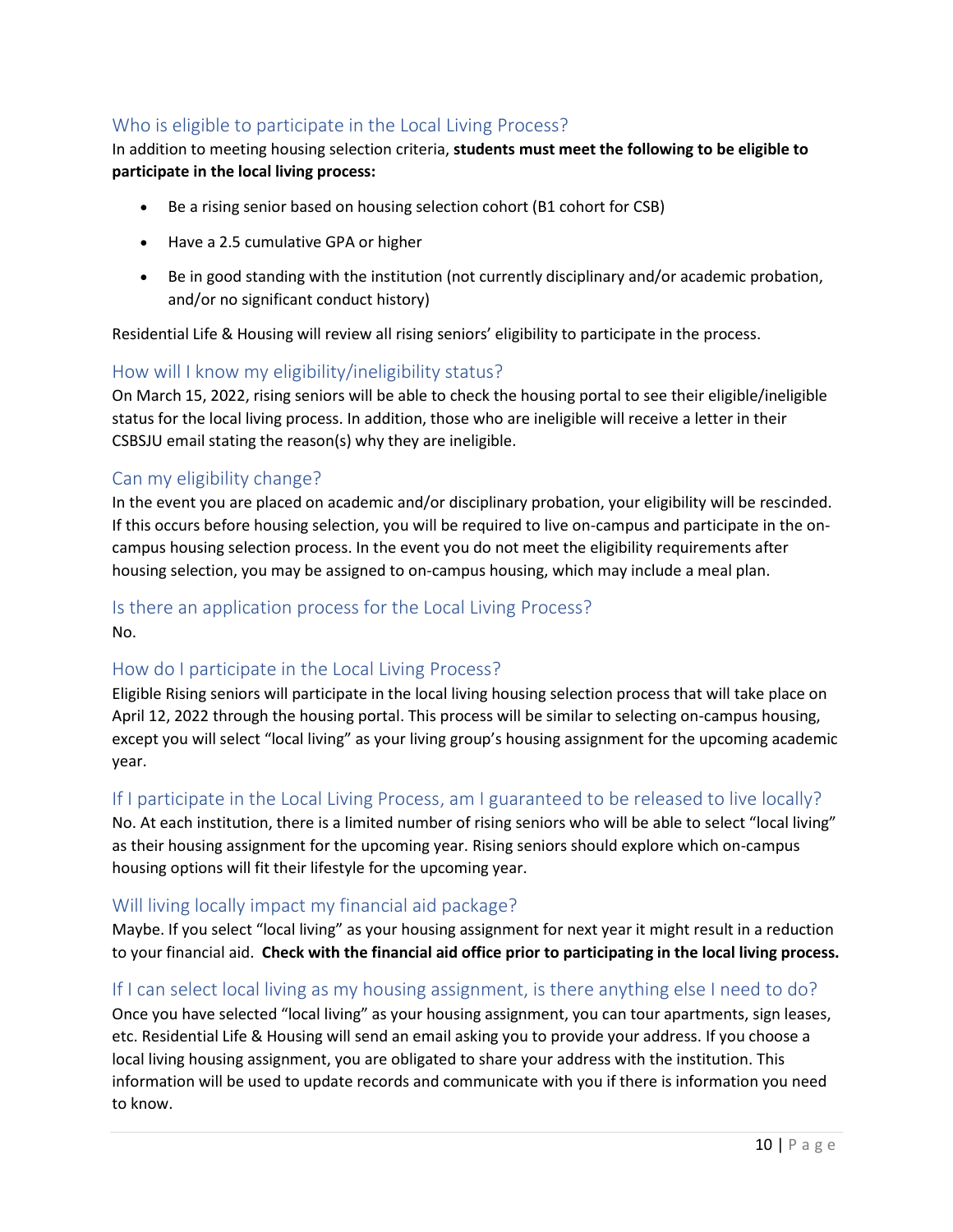#### <span id="page-9-0"></span>Who is eligible to participate in the Local Living Process?

#### In addition to meeting housing selection criteria, **students must meet the following to be eligible to participate in the local living process:**

- Be a rising senior based on housing selection cohort (B1 cohort for CSB)
- Have a 2.5 cumulative GPA or higher
- Be in good standing with the institution (not currently disciplinary and/or academic probation, and/or no significant conduct history)

Residential Life & Housing will review all rising seniors' eligibility to participate in the process.

#### <span id="page-9-1"></span>How will I know my eligibility/ineligibility status?

On March 15, 2022, rising seniors will be able to check the housing portal to see their eligible/ineligible status for the local living process. In addition, those who are ineligible will receive a letter in their CSBSJU email stating the reason(s) why they are ineligible.

#### <span id="page-9-2"></span>Can my eligibility change?

In the event you are placed on academic and/or disciplinary probation, your eligibility will be rescinded. If this occurs before housing selection, you will be required to live on-campus and participate in the oncampus housing selection process. In the event you do not meet the eligibility requirements after housing selection, you may be assigned to on-campus housing, which may include a meal plan.

#### <span id="page-9-3"></span>Is there an application process for the Local Living Process? No.

#### <span id="page-9-4"></span>How do I participate in the Local Living Process?

Eligible Rising seniors will participate in the local living housing selection process that will take place on April 12, 2022 through the housing portal. This process will be similar to selecting on-campus housing, except you will select "local living" as your living group's housing assignment for the upcoming academic year.

#### <span id="page-9-5"></span>If I participate in the Local Living Process, am I guaranteed to be released to live locally?

No. At each institution, there is a limited number of rising seniors who will be able to select "local living" as their housing assignment for the upcoming year. Rising seniors should explore which on-campus housing options will fit their lifestyle for the upcoming year.

#### <span id="page-9-6"></span>Will living locally impact my financial aid package?

Maybe. If you select "local living" as your housing assignment for next year it might result in a reduction to your financial aid. **Check with the financial aid office prior to participating in the local living process.**

#### <span id="page-9-7"></span>If I can select local living as my housing assignment, is there anything else I need to do?

Once you have selected "local living" as your housing assignment, you can tour apartments, sign leases, etc. Residential Life & Housing will send an email asking you to provide your address. If you choose a local living housing assignment, you are obligated to share your address with the institution. This information will be used to update records and communicate with you if there is information you need to know.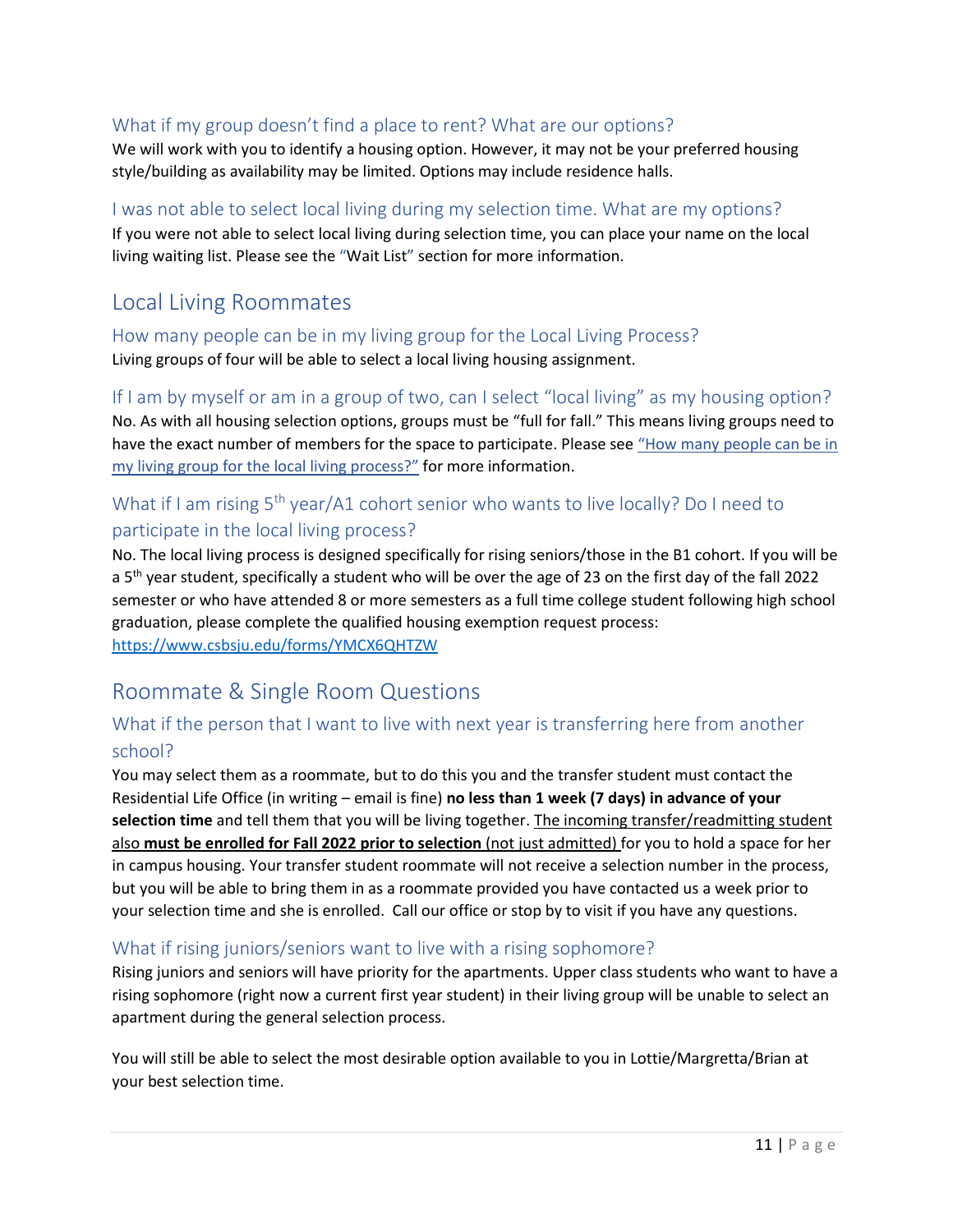#### <span id="page-10-0"></span>What if my group doesn't find a place to rent? What are our options?

We will work with you to identify a housing option. However, it may not be your preferred housing style/building as availability may be limited. Options may include residence halls.

#### <span id="page-10-1"></span>I was not able to select local living during my selection time. What are my options?

If you were not able to select local living during selection time, you can place your name on the local living waiting list. Please see the "[Wait List](#page-15-5)" section for more information.

# <span id="page-10-2"></span>Local Living Roommates

<span id="page-10-3"></span>How many people can be in my living group for the Local Living Process? Living groups of four will be able to select a local living housing assignment.

<span id="page-10-4"></span>If I am by myself or am in a group of two, can I select "local living" as my housing option? No. As with all housing selection options, groups must be "full for fall." This means living groups need to have the exact number of members for the space to participate. Please see "How many people can be in my living group for the local living process?" for more information.

# <span id="page-10-5"></span>What if I am rising 5<sup>th</sup> year/A1 cohort senior who wants to live locally? Do I need to participate in the local living process?

No. The local living process is designed specifically for rising seniors/those in the B1 cohort. If you will be a 5<sup>th</sup> year student, specifically a student who will be over the age of 23 on the first day of the fall 2022 semester or who have attended 8 or more semesters as a full time college student following high school graduation, please complete the qualified housing exemption request process: <https://www.csbsju.edu/forms/YMCX6QHTZW>

# <span id="page-10-6"></span>Roommate & Single Room Questions

## <span id="page-10-7"></span>What if the person that I want to live with next year is transferring here from another school?

You may select them as a roommate, but to do this you and the transfer student must contact the Residential Life Office (in writing – email is fine) **no less than 1 week (7 days) in advance of your selection time** and tell them that you will be living together. The incoming transfer/readmitting student also **must be enrolled for Fall 2022 prior to selection** (not just admitted) for you to hold a space for her in campus housing. Your transfer student roommate will not receive a selection number in the process, but you will be able to bring them in as a roommate provided you have contacted us a week prior to your selection time and she is enrolled. Call our office or stop by to visit if you have any questions.

#### <span id="page-10-8"></span>What if rising juniors/seniors want to live with a rising sophomore?

Rising juniors and seniors will have priority for the apartments. Upper class students who want to have a rising sophomore (right now a current first year student) in their living group will be unable to select an apartment during the general selection process.

You will still be able to select the most desirable option available to you in Lottie/Margretta/Brian at your best selection time.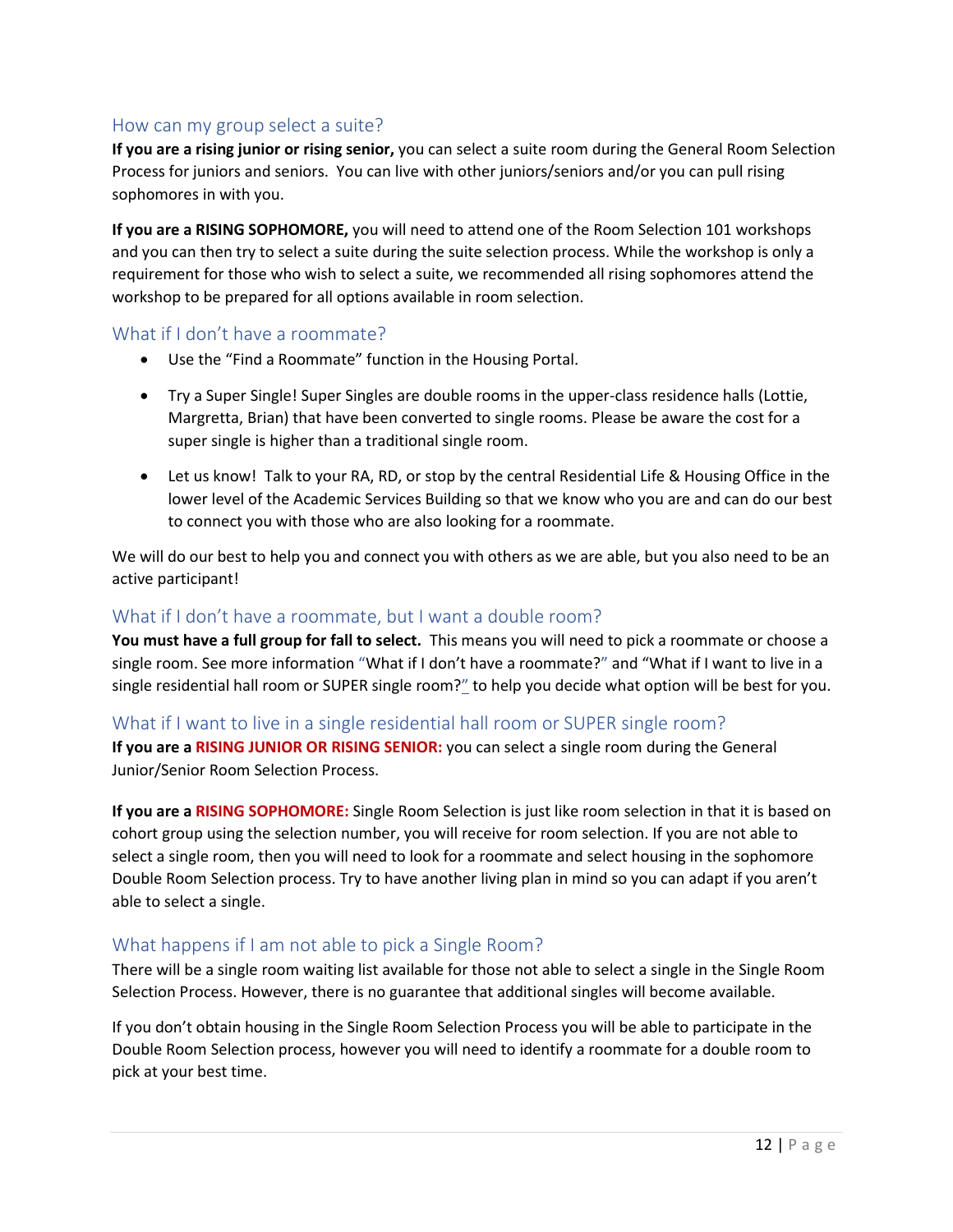#### <span id="page-11-0"></span>How can my group select a suite?

**If you are a rising junior or rising senior,** you can select a suite room during the General Room Selection Process for juniors and seniors. You can live with other juniors/seniors and/or you can pull rising sophomores in with you.

**If you are a RISING SOPHOMORE,** you will need to attend one of the Room Selection 101 workshops and you can then try to select a suite during the suite selection process. While the workshop is only a requirement for those who wish to select a suite, we recommended all rising sophomores attend the workshop to be prepared for all options available in room selection.

#### <span id="page-11-1"></span>What if I don't have a roommate?

- Use the "Find a Roommate" function in the Housing Portal.
- Try a Super Single! Super Singles are double rooms in the upper-class residence halls (Lottie, Margretta, Brian) that have been converted to single rooms. Please be aware the cost for a super single is higher than a traditional single room.
- Let us know! Talk to your RA, RD, or stop by the central Residential Life & Housing Office in the lower level of the Academic Services Building so that we know who you are and can do our best to connect you with those who are also looking for a roommate.

We will do our best to help you and connect you with others as we are able, but you also need to be an active participant!

#### <span id="page-11-2"></span>What if I don't have a roommate, but I want a double room?

**You must have a full group for fall to select.** This means you will need to pick a roommate or choose a single room. See more information ["What if I don't have a roommate?"](#page-11-1) and "[What if I want to live in a](#page-11-3)  [single residential hall room or SUPER single room?](#page-11-3)" to help you decide what option will be best for you.

#### <span id="page-11-3"></span>What if I want to live in a single residential hall room or SUPER single room?

**If you are a RISING JUNIOR OR RISING SENIOR:** you can select a single room during the General Junior/Senior Room Selection Process.

**If you are a RISING SOPHOMORE:** Single Room Selection is just like room selection in that it is based on cohort group using the selection number, you will receive for room selection. If you are not able to select a single room, then you will need to look for a roommate and select housing in the sophomore Double Room Selection process. Try to have another living plan in mind so you can adapt if you aren't able to select a single.

#### <span id="page-11-4"></span>What happens if I am not able to pick a Single Room?

There will be a single room waiting list available for those not able to select a single in the Single Room Selection Process. However, there is no guarantee that additional singles will become available.

If you don't obtain housing in the Single Room Selection Process you will be able to participate in the Double Room Selection process, however you will need to identify a roommate for a double room to pick at your best time.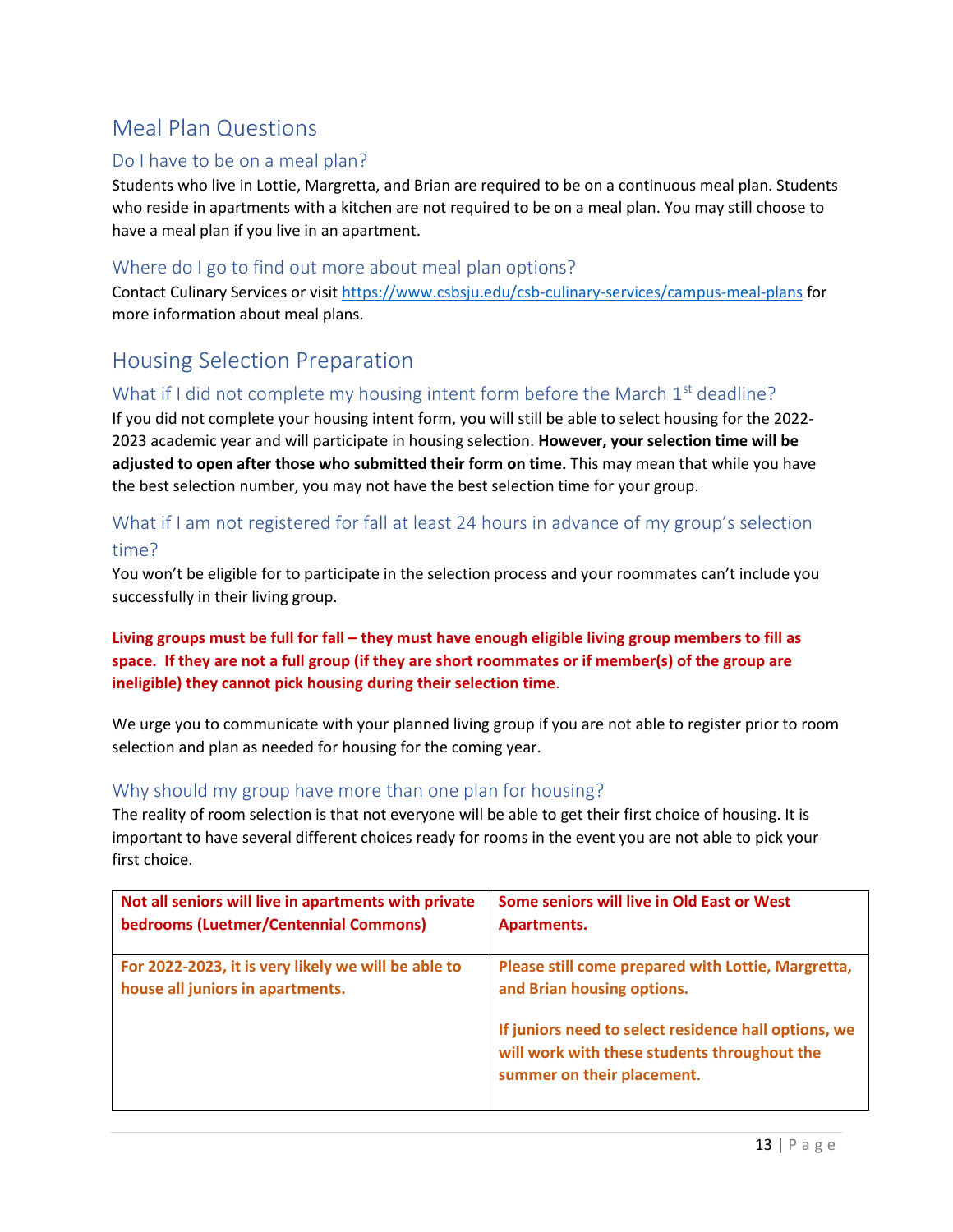# <span id="page-12-0"></span>Meal Plan Questions

#### <span id="page-12-1"></span>Do I have to be on a meal plan?

Students who live in Lottie, Margretta, and Brian are required to be on a continuous meal plan. Students who reside in apartments with a kitchen are not required to be on a meal plan. You may still choose to have a meal plan if you live in an apartment.

#### <span id="page-12-2"></span>Where do I go to find out more about meal plan options?

Contact Culinary Services or visi[t https://www.csbsju.edu/csb-culinary-services/campus-meal-plans](https://www.csbsju.edu/csb-culinary-services/campus-meal-plans) for more information about meal plans.

# <span id="page-12-3"></span>Housing Selection Preparation

#### <span id="page-12-4"></span>What if I did not complete my housing intent form before the March  $1<sup>st</sup>$  deadline?

If you did not complete your housing intent form, you will still be able to select housing for the 2022- 2023 academic year and will participate in housing selection. **However, your selection time will be adjusted to open after those who submitted their form on time.** This may mean that while you have the best selection number, you may not have the best selection time for your group.

## <span id="page-12-5"></span>What if I am not registered for fall at least 24 hours in advance of my group's selection time?

You won't be eligible for to participate in the selection process and your roommates can't include you successfully in their living group.

#### **Living groups must be full for fall – they must have enough eligible living group members to fill as space. If they are not a full group (if they are short roommates or if member(s) of the group are ineligible) they cannot pick housing during their selection time**.

We urge you to communicate with your planned living group if you are not able to register prior to room selection and plan as needed for housing for the coming year.

#### <span id="page-12-6"></span>Why should my group have more than one plan for housing?

The reality of room selection is that not everyone will be able to get their first choice of housing. It is important to have several different choices ready for rooms in the event you are not able to pick your first choice.

| Not all seniors will live in apartments with private | Some seniors will live in Old East or West                                                                                         |
|------------------------------------------------------|------------------------------------------------------------------------------------------------------------------------------------|
| bedrooms (Luetmer/Centennial Commons)                | Apartments.                                                                                                                        |
|                                                      |                                                                                                                                    |
| For 2022-2023, it is very likely we will be able to  | Please still come prepared with Lottie, Margretta,                                                                                 |
| house all juniors in apartments.                     | and Brian housing options.                                                                                                         |
|                                                      | If juniors need to select residence hall options, we<br>will work with these students throughout the<br>summer on their placement. |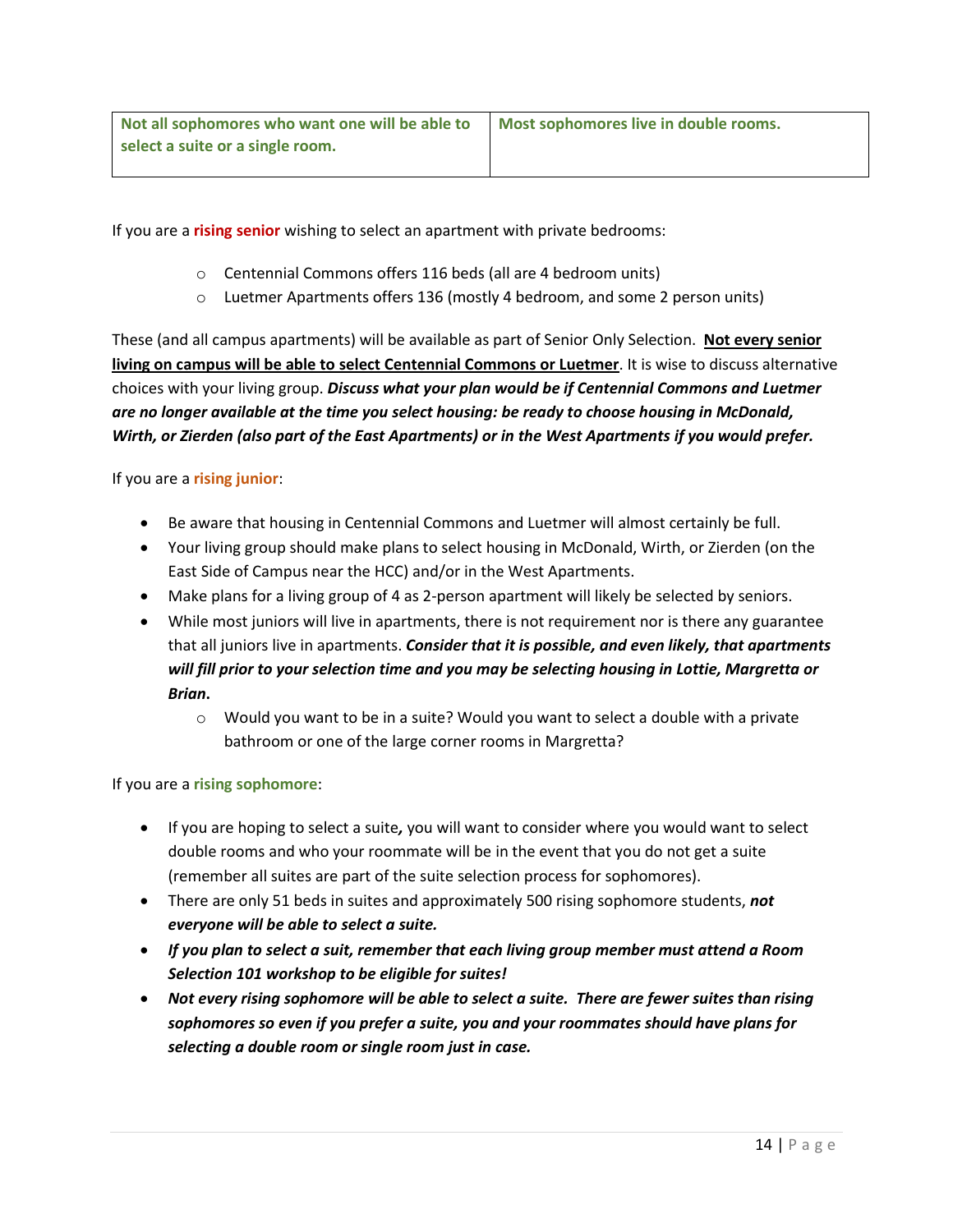If you are a **rising senior** wishing to select an apartment with private bedrooms:

- o Centennial Commons offers 116 beds (all are 4 bedroom units)
- o Luetmer Apartments offers 136 (mostly 4 bedroom, and some 2 person units)

These (and all campus apartments) will be available as part of Senior Only Selection. **Not every senior living on campus will be able to select Centennial Commons or Luetmer**. It is wise to discuss alternative choices with your living group. *Discuss what your plan would be if Centennial Commons and Luetmer are no longer available at the time you select housing: be ready to choose housing in McDonald, Wirth, or Zierden (also part of the East Apartments) or in the West Apartments if you would prefer.*

If you are a **rising junior**:

- Be aware that housing in Centennial Commons and Luetmer will almost certainly be full.
- Your living group should make plans to select housing in McDonald, Wirth, or Zierden (on the East Side of Campus near the HCC) and/or in the West Apartments.
- Make plans for a living group of 4 as 2-person apartment will likely be selected by seniors.
- While most juniors will live in apartments, there is not requirement nor is there any guarantee that all juniors live in apartments. *Consider that it is possible, and even likely, that apartments will fill prior to your selection time and you may be selecting housing in Lottie, Margretta or Brian***.**
	- $\circ$  Would you want to be in a suite? Would you want to select a double with a private bathroom or one of the large corner rooms in Margretta?

If you are a **rising sophomore**:

- If you are hoping to select a suite*,* you will want to consider where you would want to select double rooms and who your roommate will be in the event that you do not get a suite (remember all suites are part of the suite selection process for sophomores).
- There are only 51 beds in suites and approximately 500 rising sophomore students, *not everyone will be able to select a suite.*
- *If you plan to select a suit, remember that each living group member must attend a Room Selection 101 workshop to be eligible for suites!*
- *Not every rising sophomore will be able to select a suite. There are fewer suites than rising sophomores so even if you prefer a suite, you and your roommates should have plans for selecting a double room or single room just in case.*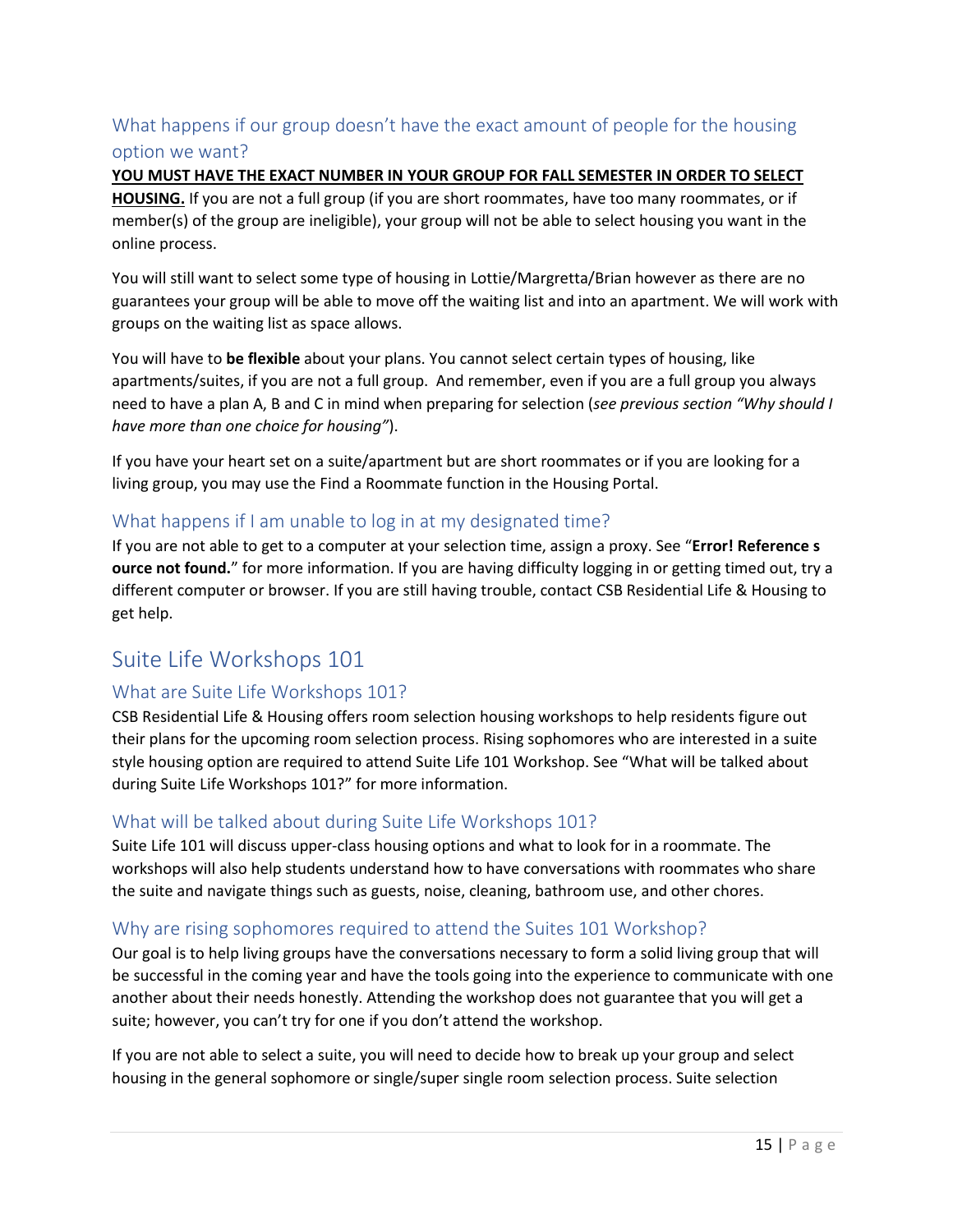# <span id="page-14-0"></span>What happens if our group doesn't have the exact amount of people for the housing option we want?

**YOU MUST HAVE THE EXACT NUMBER IN YOUR GROUP FOR FALL SEMESTER IN ORDER TO SELECT HOUSING.** If you are not a full group (if you are short roommates, have too many roommates, or if member(s) of the group are ineligible), your group will not be able to select housing you want in the online process.

You will still want to select some type of housing in Lottie/Margretta/Brian however as there are no guarantees your group will be able to move off the waiting list and into an apartment. We will work with groups on the waiting list as space allows.

You will have to **be flexible** about your plans. You cannot select certain types of housing, like apartments/suites, if you are not a full group. And remember, even if you are a full group you always need to have a plan A, B and C in mind when preparing for selection (*see previous section "Why should I have more than one choice for housing"*).

If you have your heart set on a suite/apartment but are short roommates or if you are looking for a living group, you may use the Find a Roommate function in the Housing Portal.

#### <span id="page-14-1"></span>What happens if I am unable to log in at my designated time?

If you are not able to get to a computer at your selection time, assign a proxy. See "**Error! Reference s ource not found.**" for more information. If you are having difficulty logging in or getting timed out, try a different computer or browser. If you are still having trouble, contact CSB Residential Life & Housing to get help.

# <span id="page-14-2"></span>Suite Life Workshops 101

#### <span id="page-14-3"></span>What are Suite Life Workshops 101?

CSB Residential Life & Housing offers room selection housing workshops to help residents figure out their plans for the upcoming room selection process. Rising sophomores who are interested in a suite style housing option are required to attend Suite Life 101 Workshop. See "[What will be talked about](#page-14-4)  during Suite [Life Workshops 101?](#page-14-4)" for more information.

#### <span id="page-14-4"></span>What will be talked about during Suite Life Workshops 101?

Suite Life 101 will discuss upper-class housing options and what to look for in a roommate. The workshops will also help students understand how to have conversations with roommates who share the suite and navigate things such as guests, noise, cleaning, bathroom use, and other chores.

#### <span id="page-14-5"></span>Why are rising sophomores required to attend the Suites 101 Workshop?

Our goal is to help living groups have the conversations necessary to form a solid living group that will be successful in the coming year and have the tools going into the experience to communicate with one another about their needs honestly. Attending the workshop does not guarantee that you will get a suite; however, you can't try for one if you don't attend the workshop.

If you are not able to select a suite, you will need to decide how to break up your group and select housing in the general sophomore or single/super single room selection process. Suite selection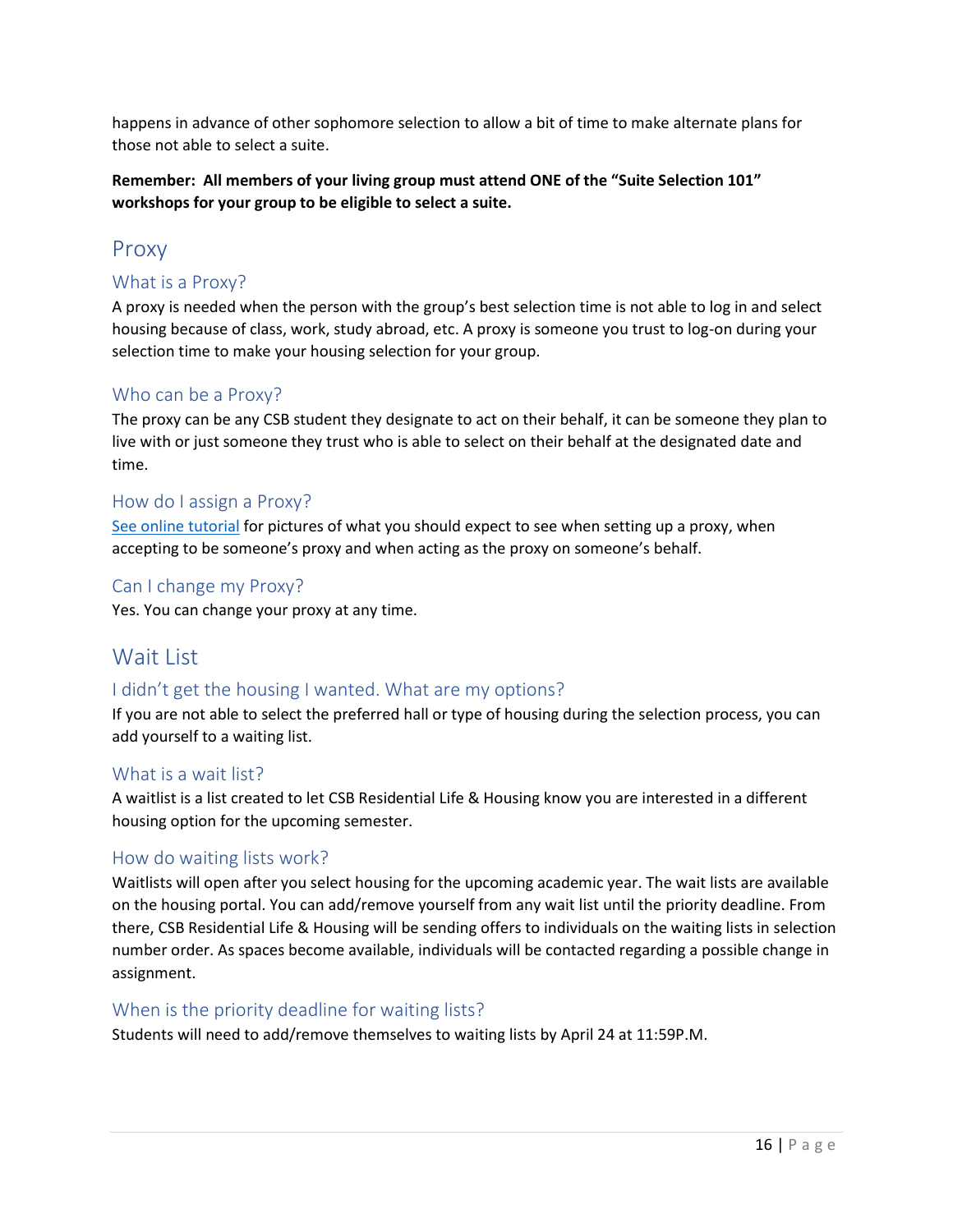happens in advance of other sophomore selection to allow a bit of time to make alternate plans for those not able to select a suite.

**Remember: All members of your living group must attend ONE of the "Suite Selection 101" workshops for your group to be eligible to select a suite.** 

# <span id="page-15-0"></span>Proxy

#### <span id="page-15-1"></span>What is a Proxy?

A proxy is needed when the person with the group's best selection time is not able to log in and select housing because of class, work, study abroad, etc. A proxy is someone you trust to log-on during your selection time to make your housing selection for your group.

#### <span id="page-15-2"></span>Who can be a Proxy?

The proxy can be any CSB student they designate to act on their behalf, it can be someone they plan to live with or just someone they trust who is able to select on their behalf at the designated date and time.

#### <span id="page-15-3"></span>How do I assign a Proxy?

See online tutorial for pictures of what you should expect to see when setting up a proxy, when accepting to be someone's proxy and when acting as the proxy on someone's behalf.

#### <span id="page-15-4"></span>Can I change my Proxy?

Yes. You can change your proxy at any time.

# <span id="page-15-5"></span>Wait List

#### <span id="page-15-6"></span>I didn't get the housing I wanted. What are my options?

If you are not able to select the preferred hall or type of housing during the selection process, you can add yourself to a waiting list.

#### <span id="page-15-7"></span>What is a wait list?

A waitlist is a list created to let CSB Residential Life & Housing know you are interested in a different housing option for the upcoming semester.

#### <span id="page-15-8"></span>How do waiting lists work?

Waitlists will open after you select housing for the upcoming academic year. The wait lists are available on the housing portal. You can add/remove yourself from any wait list until the priority deadline. From there, CSB Residential Life & Housing will be sending offers to individuals on the waiting lists in selection number order. As spaces become available, individuals will be contacted regarding a possible change in assignment.

#### <span id="page-15-9"></span>When is the priority deadline for waiting lists?

Students will need to add/remove themselves to waiting lists by April 24 at 11:59P.M.